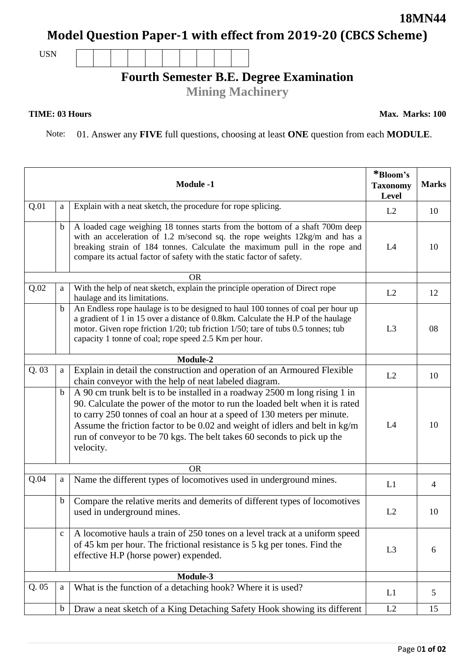## **Model Question Paper-1 with effect from 2019-20 (CBCS Scheme)**

USN

## **Fourth Semester B.E. Degree Examination**

**Mining Machinery**

## **TIME: 03 Hours**

Note: 01. Answer any **FIVE** full questions, choosing at least **ONE** question from each **MODULE**.

|          |              | <b>Module -1</b>                                                                                                                                                                                                                                                                                                                                                                                             | *Bloom's<br><b>Taxonomy</b><br>Level | <b>Marks</b>   |
|----------|--------------|--------------------------------------------------------------------------------------------------------------------------------------------------------------------------------------------------------------------------------------------------------------------------------------------------------------------------------------------------------------------------------------------------------------|--------------------------------------|----------------|
| Q.01     | a            | Explain with a neat sketch, the procedure for rope splicing.                                                                                                                                                                                                                                                                                                                                                 | L2                                   | 10             |
|          | $\mathbf b$  | A loaded cage weighing 18 tonnes starts from the bottom of a shaft 700m deep<br>with an acceleration of 1.2 m/second sq. the rope weights $12\text{kg/m}$ and has a<br>breaking strain of 184 tonnes. Calculate the maximum pull in the rope and<br>compare its actual factor of safety with the static factor of safety.                                                                                    | L4                                   | 10             |
|          |              | <b>OR</b>                                                                                                                                                                                                                                                                                                                                                                                                    |                                      |                |
| Q.02     | a            | With the help of neat sketch, explain the principle operation of Direct rope<br>haulage and its limitations.                                                                                                                                                                                                                                                                                                 | L2                                   | 12             |
|          | $\mathbf b$  | An Endless rope haulage is to be designed to haul 100 tonnes of coal per hour up<br>a gradient of 1 in 15 over a distance of 0.8km. Calculate the H.P of the haulage<br>motor. Given rope friction 1/20; tub friction 1/50; tare of tubs 0.5 tonnes; tub<br>capacity 1 tonne of coal; rope speed 2.5 Km per hour.                                                                                            | L3                                   | 08             |
|          |              | Module-2                                                                                                                                                                                                                                                                                                                                                                                                     |                                      |                |
| Q.03     | a            | Explain in detail the construction and operation of an Armoured Flexible<br>chain conveyor with the help of neat labeled diagram.                                                                                                                                                                                                                                                                            | L2                                   | 10             |
|          | $\mathbf b$  | A 90 cm trunk belt is to be installed in a roadway 2500 m long rising 1 in<br>90. Calculate the power of the motor to run the loaded belt when it is rated<br>to carry 250 tonnes of coal an hour at a speed of 130 meters per minute.<br>Assume the friction factor to be 0.02 and weight of idlers and belt in kg/m<br>run of conveyor to be 70 kgs. The belt takes 60 seconds to pick up the<br>velocity. | L4                                   | 10             |
|          |              | <b>OR</b>                                                                                                                                                                                                                                                                                                                                                                                                    |                                      |                |
| Q.04     | a            | Name the different types of locomotives used in underground mines.                                                                                                                                                                                                                                                                                                                                           | L1                                   | $\overline{4}$ |
|          | $\mathbf b$  | Compare the relative merits and demerits of different types of locomotives<br>used in underground mines.                                                                                                                                                                                                                                                                                                     | L2                                   | 10             |
|          | $\mathbf{C}$ | A locomotive hauls a train of 250 tones on a level track at a uniform speed<br>of 45 km per hour. The frictional resistance is 5 kg per tones. Find the<br>effective H.P (horse power) expended.                                                                                                                                                                                                             | L <sub>3</sub>                       | 6              |
| Module-3 |              |                                                                                                                                                                                                                                                                                                                                                                                                              |                                      |                |
| Q.05     | a            | What is the function of a detaching hook? Where it is used?                                                                                                                                                                                                                                                                                                                                                  | L1                                   | 5              |
|          | $\mathbf b$  | Draw a neat sketch of a King Detaching Safety Hook showing its different                                                                                                                                                                                                                                                                                                                                     | L2                                   | 15             |

**Max. Marks: 100**

**18MN44**